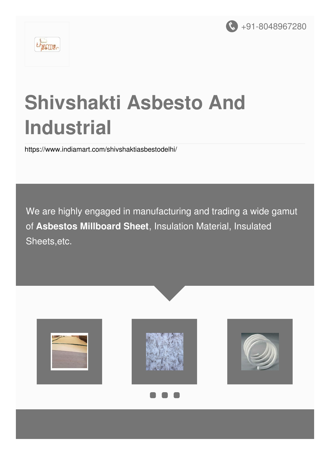



# **Shivshakti Asbesto And Industrial**

<https://www.indiamart.com/shivshaktiasbestodelhi/>

We are highly engaged in manufacturing and trading a wide gamut of **Asbestos Millboard Sheet**, Insulation Material, Insulated Sheets,etc.

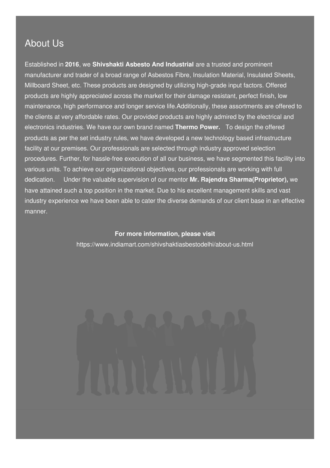# About Us

Established in **2016**, we **Shivshakti Asbesto And Industrial** are a trusted and prominent manufacturer and trader of a broad range of Asbestos Fibre, Insulation Material, Insulated Sheets, Millboard Sheet, etc. These products are designed by utilizing high-grade input factors. Offered products are highly appreciated across the market for their damage resistant, perfect finish, low maintenance, high performance and longer service life.Additionally, these assortments are offered to the clients at very affordable rates. Our provided products are highly admired by the electrical and electronics industries. We have our own brand named **Thermo Power.** To design the offered products as per the set industry rules, we have developed a new technology based infrastructure facility at our premises. Our professionals are selected through industry approved selection procedures. Further, for hassle-free execution of all our business, we have segmented this facility into various units. To achieve our organizational objectives, our professionals are working with full dedication. Under the valuable supervision of our mentor **Mr. Rajendra Sharma(Proprietor),** we have attained such a top position in the market. Due to his excellent management skills and vast industry experience we have been able to cater the diverse demands of our client base in an effective manner.

> **For more information, please visit** <https://www.indiamart.com/shivshaktiasbestodelhi/about-us.html>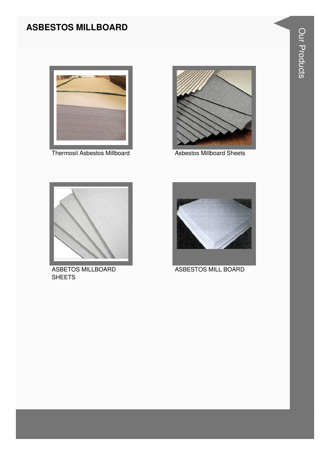# **ASBESTOS MILLBOARD**



Thermosil Asbestos Millboard



**Asbestos Millboard Sheets** 



ASBETOS MILLBOARD **SHEETS** 



ASBESTOS MILL BOARD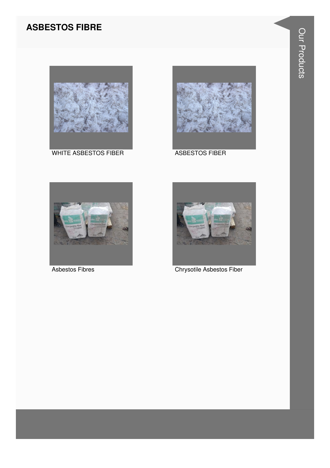# **ASBESTOS FIBRE**



**WHITE ASBESTOS FIBER** 



**ASBESTOS FIBER** 



**Asbestos Fibres** 



Chrysotile Asbestos Fiber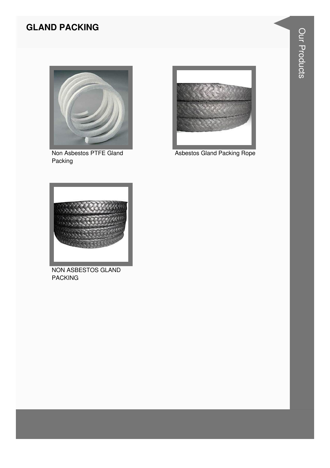# **GLAND PACKING**



Non Asbestos PTFE Gland Packing



**Asbestos Gland Packing Rope** 



NON ASBESTOS GLAND **PACKING**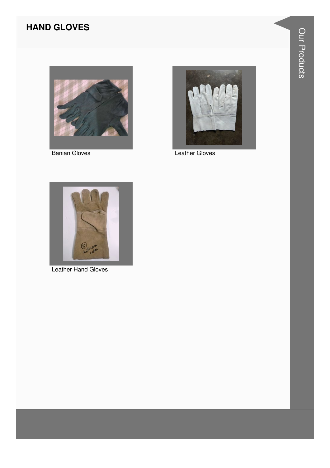# **HAND GLOVES**



**Banian Gloves** 



**Leather Gloves** 



Leather Hand Gloves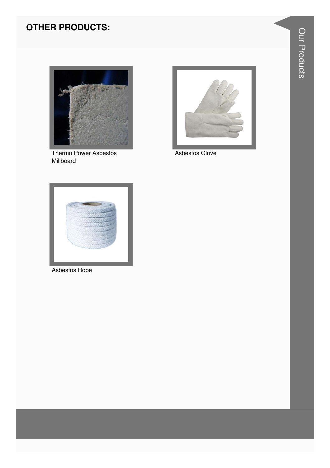# **OTHER PRODUCTS:**



Thermo Power Asbestos Millboard



Asbestos Glove



Asbestos Rope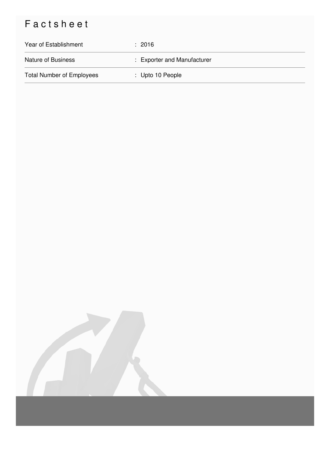# Factsheet

| Year of Establishment            | : 2016                      |
|----------------------------------|-----------------------------|
| <b>Nature of Business</b>        | : Exporter and Manufacturer |
| <b>Total Number of Employees</b> | $\therefore$ Upto 10 People |